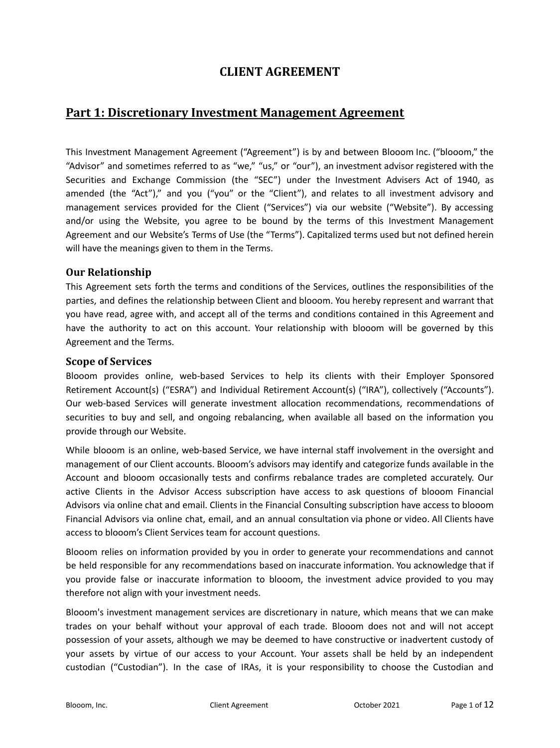# **CLIENT AGREEMENT**

# **Part 1: Discretionary Investment Management Agreement**

This Investment Management Agreement ("Agreement") is by and between Blooom Inc. ("blooom," the "Advisor" and sometimes referred to as "we," "us," or "our"), an investment advisor registered with the Securities and Exchange Commission (the "SEC") under the Investment Advisers Act of 1940, as amended (the "Act")," and you ("you" or the "Client"), and relates to all investment advisory and management services provided for the Client ("Services") via our website ("Website"). By accessing and/or using the Website, you agree to be bound by the terms of this Investment Management Agreement and our Website's Terms of Use (the "Terms"). Capitalized terms used but not defined herein will have the meanings given to them in the Terms.

#### **Our Relationship**

This Agreement sets forth the terms and conditions of the Services, outlines the responsibilities of the parties, and defines the relationship between Client and blooom. You hereby represent and warrant that you have read, agree with, and accept all of the terms and conditions contained in this Agreement and have the authority to act on this account. Your relationship with blooom will be governed by this Agreement and the Terms.

#### **Scope of Services**

Blooom provides online, web-based Services to help its clients with their Employer Sponsored Retirement Account(s) ("ESRA") and Individual Retirement Account(s) ("IRA"), collectively ("Accounts"). Our web-based Services will generate investment allocation recommendations, recommendations of securities to buy and sell, and ongoing rebalancing, when available all based on the information you provide through our Website.

While blooom is an online, web-based Service, we have internal staff involvement in the oversight and management of our Client accounts. Blooom's advisors may identify and categorize funds available in the Account and blooom occasionally tests and confirms rebalance trades are completed accurately. Our active Clients in the Advisor Access subscription have access to ask questions of blooom Financial Advisors via online chat and email. Clients in the Financial Consulting subscription have access to blooom Financial Advisors via online chat, email, and an annual consultation via phone or video. All Clients have access to blooom's Client Services team for account questions.

Blooom relies on information provided by you in order to generate your recommendations and cannot be held responsible for any recommendations based on inaccurate information. You acknowledge that if you provide false or inaccurate information to blooom, the investment advice provided to you may therefore not align with your investment needs.

Blooom's investment management services are discretionary in nature, which means that we can make trades on your behalf without your approval of each trade. Blooom does not and will not accept possession of your assets, although we may be deemed to have constructive or inadvertent custody of your assets by virtue of our access to your Account. Your assets shall be held by an independent custodian ("Custodian"). In the case of IRAs, it is your responsibility to choose the Custodian and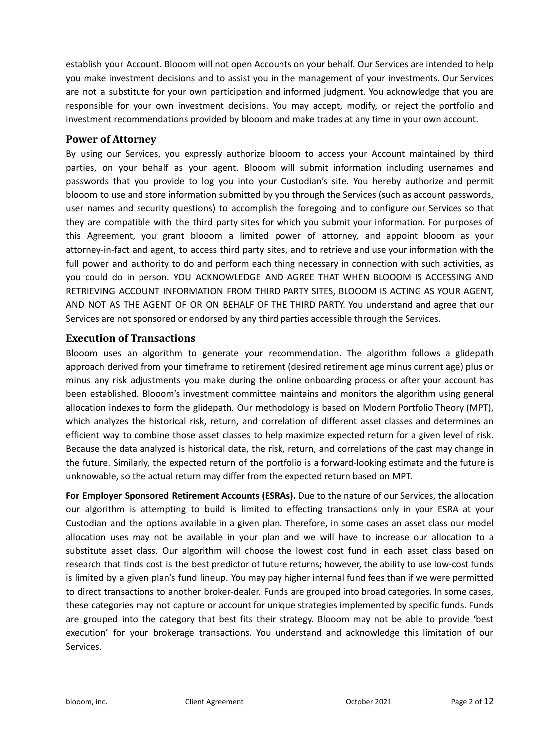establish your Account. Blooom will not open Accounts on your behalf. Our Services are intended to help you make investment decisions and to assist you in the management of your investments. Our Services are not a substitute for your own participation and informed judgment. You acknowledge that you are responsible for your own investment decisions. You may accept, modify, or reject the portfolio and investment recommendations provided by blooom and make trades at any time in your own account.

#### **Power of Attorney**

By using our Services, you expressly authorize blooom to access your Account maintained by third parties, on your behalf as your agent. Blooom will submit information including usernames and passwords that you provide to log you into your Custodian's site. You hereby authorize and permit blooom to use and store information submitted by you through the Services (such as account passwords, user names and security questions) to accomplish the foregoing and to configure our Services so that they are compatible with the third party sites for which you submit your information. For purposes of this Agreement, you grant blooom a limited power of attorney, and appoint blooom as your attorney-in-fact and agent, to access third party sites, and to retrieve and use your information with the full power and authority to do and perform each thing necessary in connection with such activities, as you could do in person. YOU ACKNOWLEDGE AND AGREE THAT WHEN BLOOOM IS ACCESSING AND RETRIEVING ACCOUNT INFORMATION FROM THIRD PARTY SITES, BLOOOM IS ACTING AS YOUR AGENT, AND NOT AS THE AGENT OF OR ON BEHALF OF THE THIRD PARTY. You understand and agree that our Services are not sponsored or endorsed by any third parties accessible through the Services.

#### **Execution of Transactions**

Blooom uses an algorithm to generate your recommendation. The algorithm follows a glidepath approach derived from your timeframe to retirement (desired retirement age minus current age) plus or minus any risk adjustments you make during the online onboarding process or after your account has been established. Blooom's investment committee maintains and monitors the algorithm using general allocation indexes to form the glidepath. Our methodology is based on Modern Portfolio Theory (MPT), which analyzes the historical risk, return, and correlation of different asset classes and determines an efficient way to combine those asset classes to help maximize expected return for a given level of risk. Because the data analyzed is historical data, the risk, return, and correlations of the past may change in the future. Similarly, the expected return of the portfolio is a forward-looking estimate and the future is unknowable, so the actual return may differ from the expected return based on MPT.

**For Employer Sponsored Retirement Accounts (ESRAs).** Due to the nature of our Services, the allocation our algorithm is attempting to build is limited to effecting transactions only in your ESRA at your Custodian and the options available in a given plan. Therefore, in some cases an asset class our model allocation uses may not be available in your plan and we will have to increase our allocation to a substitute asset class. Our algorithm will choose the lowest cost fund in each asset class based on research that finds cost is the best predictor of future returns; however, the ability to use low-cost funds is limited by a given plan's fund lineup. You may pay higher internal fund fees than if we were permitted to direct transactions to another broker-dealer. Funds are grouped into broad categories. In some cases, these categories may not capture or account for unique strategies implemented by specific funds. Funds are grouped into the category that best fits their strategy. Blooom may not be able to provide 'best execution' for your brokerage transactions. You understand and acknowledge this limitation of our Services.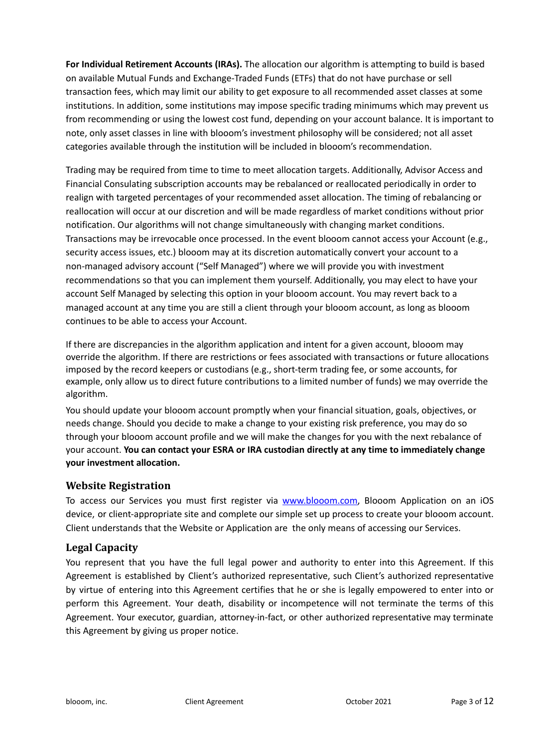**For Individual Retirement Accounts (IRAs).** The allocation our algorithm is attempting to build is based on available Mutual Funds and Exchange-Traded Funds (ETFs) that do not have purchase or sell transaction fees, which may limit our ability to get exposure to all recommended asset classes at some institutions. In addition, some institutions may impose specific trading minimums which may prevent us from recommending or using the lowest cost fund, depending on your account balance. It is important to note, only asset classes in line with blooom's investment philosophy will be considered; not all asset categories available through the institution will be included in blooom's recommendation.

Trading may be required from time to time to meet allocation targets. Additionally, Advisor Access and Financial Consulating subscription accounts may be rebalanced or reallocated periodically in order to realign with targeted percentages of your recommended asset allocation. The timing of rebalancing or reallocation will occur at our discretion and will be made regardless of market conditions without prior notification. Our algorithms will not change simultaneously with changing market conditions. Transactions may be irrevocable once processed. In the event blooom cannot access your Account (e.g., security access issues, etc.) blooom may at its discretion automatically convert your account to a non-managed advisory account ("Self Managed") where we will provide you with investment recommendations so that you can implement them yourself. Additionally, you may elect to have your account Self Managed by selecting this option in your blooom account. You may revert back to a managed account at any time you are still a client through your blooom account, as long as blooom continues to be able to access your Account.

If there are discrepancies in the algorithm application and intent for a given account, blooom may override the algorithm. If there are restrictions or fees associated with transactions or future allocations imposed by the record keepers or custodians (e.g., short-term trading fee, or some accounts, for example, only allow us to direct future contributions to a limited number of funds) we may override the algorithm.

You should update your blooom account promptly when your financial situation, goals, objectives, or needs change. Should you decide to make a change to your existing risk preference, you may do so through your blooom account profile and we will make the changes for you with the next rebalance of your account. **You can contact your ESRA or IRA custodian directly at any time to immediately change your investment allocation.**

### **Website Registration**

To access our Services you must first register via [www.blooom.com,](http://www.blooom.com) Blooom Application on an iOS device, or client-appropriate site and complete our simple set up process to create your blooom account. Client understands that the Website or Application are the only means of accessing our Services.

# **Legal Capacity**

You represent that you have the full legal power and authority to enter into this Agreement. If this Agreement is established by Client's authorized representative, such Client's authorized representative by virtue of entering into this Agreement certifies that he or she is legally empowered to enter into or perform this Agreement. Your death, disability or incompetence will not terminate the terms of this Agreement. Your executor, guardian, attorney-in-fact, or other authorized representative may terminate this Agreement by giving us proper notice.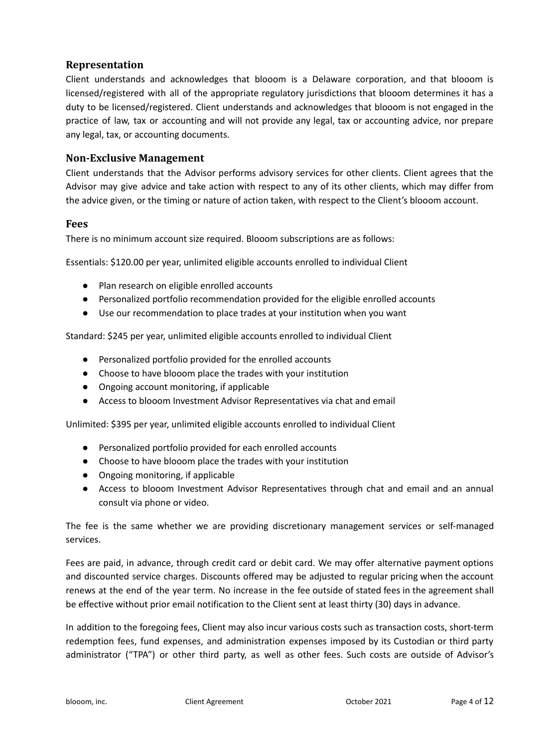### **Representation**

Client understands and acknowledges that blooom is a Delaware corporation, and that blooom is licensed/registered with all of the appropriate regulatory jurisdictions that blooom determines it has a duty to be licensed/registered. Client understands and acknowledges that blooom is not engaged in the practice of law, tax or accounting and will not provide any legal, tax or accounting advice, nor prepare any legal, tax, or accounting documents.

#### **Non-Exclusive Management**

Client understands that the Advisor performs advisory services for other clients. Client agrees that the Advisor may give advice and take action with respect to any of its other clients, which may differ from the advice given, or the timing or nature of action taken, with respect to the Client's blooom account.

#### **Fees**

There is no minimum account size required. Blooom subscriptions are as follows:

Essentials: \$120.00 per year, unlimited eligible accounts enrolled to individual Client

- Plan research on eligible enrolled accounts
- Personalized portfolio recommendation provided for the eligible enrolled accounts
- Use our recommendation to place trades at your institution when you want

Standard: \$245 per year, unlimited eligible accounts enrolled to individual Client

- Personalized portfolio provided for the enrolled accounts
- Choose to have blooom place the trades with your institution
- Ongoing account monitoring, if applicable
- Access to blooom Investment Advisor Representatives via chat and email

Unlimited: \$395 per year, unlimited eligible accounts enrolled to individual Client

- Personalized portfolio provided for each enrolled accounts
- Choose to have blooom place the trades with your institution
- Ongoing monitoring, if applicable
- Access to blooom Investment Advisor Representatives through chat and email and an annual consult via phone or video.

The fee is the same whether we are providing discretionary management services or self-managed services.

Fees are paid, in advance, through credit card or debit card. We may offer alternative payment options and discounted service charges. Discounts offered may be adjusted to regular pricing when the account renews at the end of the year term. No increase in the fee outside of stated fees in the agreement shall be effective without prior email notification to the Client sent at least thirty (30) days in advance.

In addition to the foregoing fees, Client may also incur various costs such as transaction costs, short-term redemption fees, fund expenses, and administration expenses imposed by its Custodian or third party administrator ("TPA") or other third party, as well as other fees. Such costs are outside of Advisor's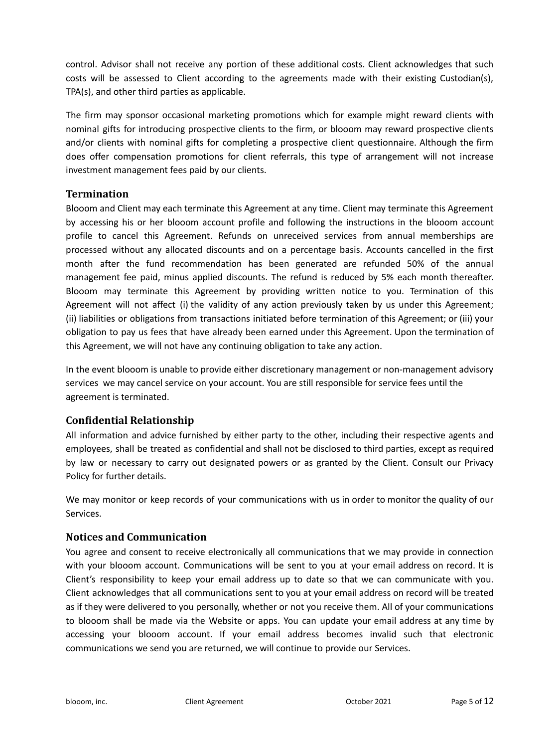control. Advisor shall not receive any portion of these additional costs. Client acknowledges that such costs will be assessed to Client according to the agreements made with their existing Custodian(s), TPA(s), and other third parties as applicable.

The firm may sponsor occasional marketing promotions which for example might reward clients with nominal gifts for introducing prospective clients to the firm, or blooom may reward prospective clients and/or clients with nominal gifts for completing a prospective client questionnaire. Although the firm does offer compensation promotions for client referrals, this type of arrangement will not increase investment management fees paid by our clients.

# **Termination**

Blooom and Client may each terminate this Agreement at any time. Client may terminate this Agreement by accessing his or her blooom account profile and following the instructions in the blooom account profile to cancel this Agreement. Refunds on unreceived services from annual memberships are processed without any allocated discounts and on a percentage basis. Accounts cancelled in the first month after the fund recommendation has been generated are refunded 50% of the annual management fee paid, minus applied discounts. The refund is reduced by 5% each month thereafter. Blooom may terminate this Agreement by providing written notice to you. Termination of this Agreement will not affect (i) the validity of any action previously taken by us under this Agreement; (ii) liabilities or obligations from transactions initiated before termination of this Agreement; or (iii) your obligation to pay us fees that have already been earned under this Agreement. Upon the termination of this Agreement, we will not have any continuing obligation to take any action.

In the event blooom is unable to provide either discretionary management or non-management advisory services we may cancel service on your account. You are still responsible for service fees until the agreement is terminated.

### **Confidential Relationship**

All information and advice furnished by either party to the other, including their respective agents and employees, shall be treated as confidential and shall not be disclosed to third parties, except as required by law or necessary to carry out designated powers or as granted by the Client. Consult our Privacy Policy for further details.

We may monitor or keep records of your communications with us in order to monitor the quality of our Services.

# **Notices and Communication**

You agree and consent to receive electronically all communications that we may provide in connection with your blooom account. Communications will be sent to you at your email address on record. It is Client's responsibility to keep your email address up to date so that we can communicate with you. Client acknowledges that all communications sent to you at your email address on record will be treated as if they were delivered to you personally, whether or not you receive them. All of your communications to blooom shall be made via the Website or apps. You can update your email address at any time by accessing your blooom account. If your email address becomes invalid such that electronic communications we send you are returned, we will continue to provide our Services.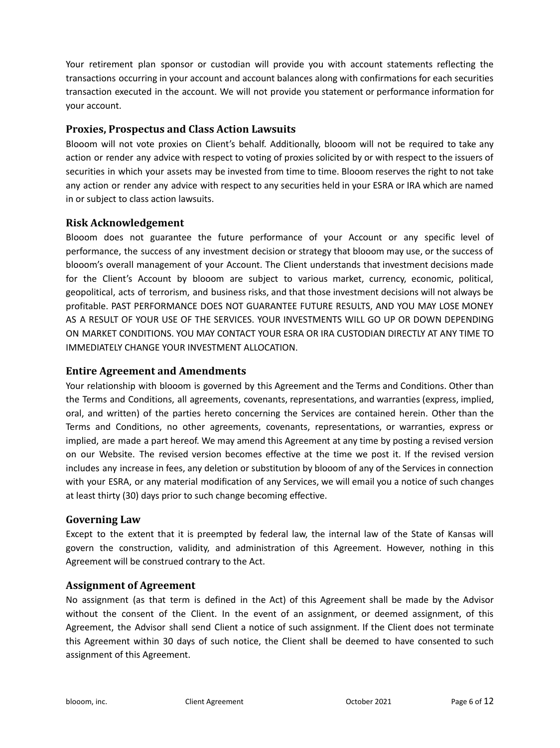Your retirement plan sponsor or custodian will provide you with account statements reflecting the transactions occurring in your account and account balances along with confirmations for each securities transaction executed in the account. We will not provide you statement or performance information for your account.

## **Proxies, Prospectus and Class Action Lawsuits**

Blooom will not vote proxies on Client's behalf. Additionally, blooom will not be required to take any action or render any advice with respect to voting of proxies solicited by or with respect to the issuers of securities in which your assets may be invested from time to time. Blooom reserves the right to not take any action or render any advice with respect to any securities held in your ESRA or IRA which are named in or subject to class action lawsuits.

## **Risk Acknowledgement**

Blooom does not guarantee the future performance of your Account or any specific level of performance, the success of any investment decision or strategy that blooom may use, or the success of blooom's overall management of your Account. The Client understands that investment decisions made for the Client's Account by blooom are subject to various market, currency, economic, political, geopolitical, acts of terrorism, and business risks, and that those investment decisions will not always be profitable. PAST PERFORMANCE DOES NOT GUARANTEE FUTURE RESULTS, AND YOU MAY LOSE MONEY AS A RESULT OF YOUR USE OF THE SERVICES. YOUR INVESTMENTS WILL GO UP OR DOWN DEPENDING ON MARKET CONDITIONS. YOU MAY CONTACT YOUR ESRA OR IRA CUSTODIAN DIRECTLY AT ANY TIME TO IMMEDIATELY CHANGE YOUR INVESTMENT ALLOCATION.

### **Entire Agreement and Amendments**

Your relationship with blooom is governed by this Agreement and the Terms and Conditions. Other than the Terms and Conditions, all agreements, covenants, representations, and warranties (express, implied, oral, and written) of the parties hereto concerning the Services are contained herein. Other than the Terms and Conditions, no other agreements, covenants, representations, or warranties, express or implied, are made a part hereof. We may amend this Agreement at any time by posting a revised version on our Website. The revised version becomes effective at the time we post it. If the revised version includes any increase in fees, any deletion or substitution by blooom of any of the Services in connection with your ESRA, or any material modification of any Services, we will email you a notice of such changes at least thirty (30) days prior to such change becoming effective.

### **Governing Law**

Except to the extent that it is preempted by federal law, the internal law of the State of Kansas will govern the construction, validity, and administration of this Agreement. However, nothing in this Agreement will be construed contrary to the Act.

### **Assignment of Agreement**

No assignment (as that term is defined in the Act) of this Agreement shall be made by the Advisor without the consent of the Client. In the event of an assignment, or deemed assignment, of this Agreement, the Advisor shall send Client a notice of such assignment. If the Client does not terminate this Agreement within 30 days of such notice, the Client shall be deemed to have consented to such assignment of this Agreement.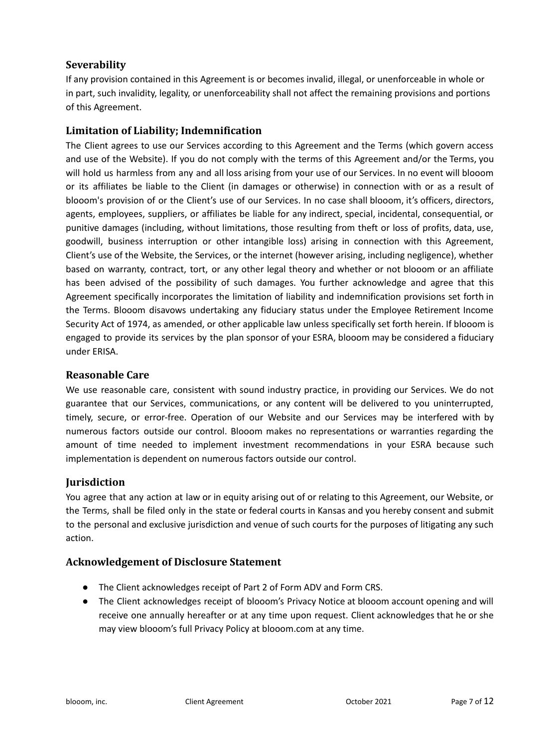## **Severability**

If any provision contained in this Agreement is or becomes invalid, illegal, or unenforceable in whole or in part, such invalidity, legality, or unenforceability shall not affect the remaining provisions and portions of this Agreement.

## **Limitation of Liability; Indemnification**

The Client agrees to use our Services according to this Agreement and the Terms (which govern access and use of the Website). If you do not comply with the terms of this Agreement and/or the Terms, you will hold us harmless from any and all loss arising from your use of our Services. In no event will blooom or its affiliates be liable to the Client (in damages or otherwise) in connection with or as a result of blooom's provision of or the Client's use of our Services. In no case shall blooom, it's officers, directors, agents, employees, suppliers, or affiliates be liable for any indirect, special, incidental, consequential, or punitive damages (including, without limitations, those resulting from theft or loss of profits, data, use, goodwill, business interruption or other intangible loss) arising in connection with this Agreement, Client's use of the Website, the Services, or the internet (however arising, including negligence), whether based on warranty, contract, tort, or any other legal theory and whether or not blooom or an affiliate has been advised of the possibility of such damages. You further acknowledge and agree that this Agreement specifically incorporates the limitation of liability and indemnification provisions set forth in the Terms. Blooom disavows undertaking any fiduciary status under the Employee Retirement Income Security Act of 1974, as amended, or other applicable law unless specifically set forth herein. If blooom is engaged to provide its services by the plan sponsor of your ESRA, blooom may be considered a fiduciary under ERISA.

#### **Reasonable Care**

We use reasonable care, consistent with sound industry practice, in providing our Services. We do not guarantee that our Services, communications, or any content will be delivered to you uninterrupted, timely, secure, or error-free. Operation of our Website and our Services may be interfered with by numerous factors outside our control. Blooom makes no representations or warranties regarding the amount of time needed to implement investment recommendations in your ESRA because such implementation is dependent on numerous factors outside our control.

### **Jurisdiction**

You agree that any action at law or in equity arising out of or relating to this Agreement, our Website, or the Terms, shall be filed only in the state or federal courts in Kansas and you hereby consent and submit to the personal and exclusive jurisdiction and venue of such courts for the purposes of litigating any such action.

### **Acknowledgement of Disclosure Statement**

- The Client acknowledges receipt of Part 2 of Form ADV and Form CRS.
- The Client acknowledges receipt of blooom's Privacy Notice at blooom account opening and will receive one annually hereafter or at any time upon request. Client acknowledges that he or she may view blooom's full Privacy Policy at blooom.com at any time.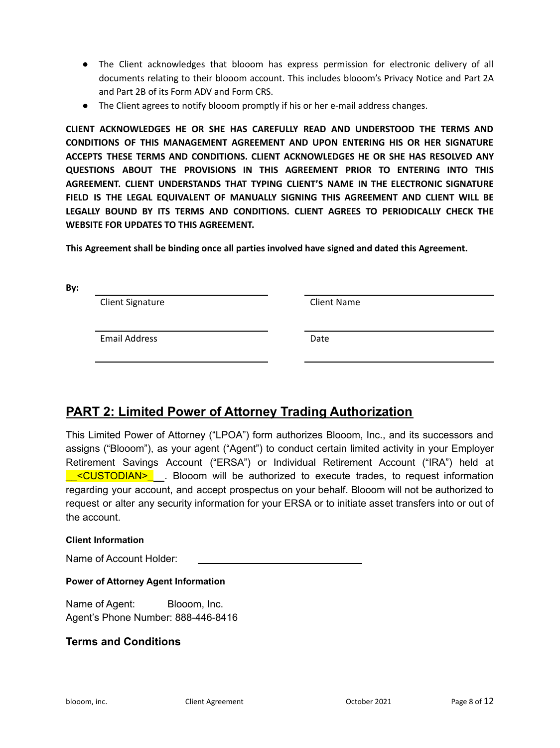- The Client acknowledges that blooom has express permission for electronic delivery of all documents relating to their blooom account. This includes blooom's Privacy Notice and Part 2A and Part 2B of its Form ADV and Form CRS.
- The Client agrees to notify blooom promptly if his or her e-mail address changes.

**CLIENT ACKNOWLEDGES HE OR SHE HAS CAREFULLY READ AND UNDERSTOOD THE TERMS AND CONDITIONS OF THIS MANAGEMENT AGREEMENT AND UPON ENTERING HIS OR HER SIGNATURE ACCEPTS THESE TERMS AND CONDITIONS. CLIENT ACKNOWLEDGES HE OR SHE HAS RESOLVED ANY QUESTIONS ABOUT THE PROVISIONS IN THIS AGREEMENT PRIOR TO ENTERING INTO THIS AGREEMENT. CLIENT UNDERSTANDS THAT TYPING CLIENT'S NAME IN THE ELECTRONIC SIGNATURE FIELD IS THE LEGAL EQUIVALENT OF MANUALLY SIGNING THIS AGREEMENT AND CLIENT WILL BE LEGALLY BOUND BY ITS TERMS AND CONDITIONS. CLIENT AGREES TO PERIODICALLY CHECK THE WEBSITE FOR UPDATES TO THIS AGREEMENT.**

**This Agreement shall be binding once all parties involved have signed and dated this Agreement.**

| <b>Client Signature</b> | <b>Client Name</b> |
|-------------------------|--------------------|
| <b>Email Address</b>    | Date               |
|                         |                    |

# **PART 2: Limited Power of Attorney Trading Authorization**

This Limited Power of Attorney ("LPOA") form authorizes Blooom, Inc., and its successors and assigns ("Blooom"), as your agent ("Agent") to conduct certain limited activity in your Employer Retirement Savings Account ("ERSA") or Individual Retirement Account ("IRA") held at \_\_<CUSTODIAN>\_ . Blooom will be authorized to execute trades, to request information regarding your account, and accept prospectus on your behalf. Blooom will not be authorized to request or alter any security information for your ERSA or to initiate asset transfers into or out of the account.

#### **Client Information**

**By:**

Name of Account Holder:

#### **Power of Attorney Agent Information**

Name of Agent: Blooom, Inc. Agent's Phone Number: 888-446-8416

### **Terms and Conditions**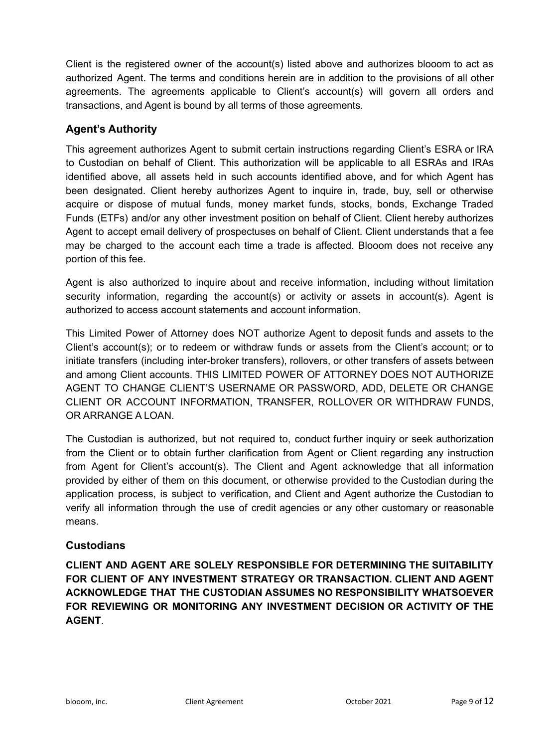Client is the registered owner of the account(s) listed above and authorizes blooom to act as authorized Agent. The terms and conditions herein are in addition to the provisions of all other agreements. The agreements applicable to Client's account(s) will govern all orders and transactions, and Agent is bound by all terms of those agreements.

# **Agent's Authority**

This agreement authorizes Agent to submit certain instructions regarding Client's ESRA or IRA to Custodian on behalf of Client. This authorization will be applicable to all ESRAs and IRAs identified above, all assets held in such accounts identified above, and for which Agent has been designated. Client hereby authorizes Agent to inquire in, trade, buy, sell or otherwise acquire or dispose of mutual funds, money market funds, stocks, bonds, Exchange Traded Funds (ETFs) and/or any other investment position on behalf of Client. Client hereby authorizes Agent to accept email delivery of prospectuses on behalf of Client. Client understands that a fee may be charged to the account each time a trade is affected. Blooom does not receive any portion of this fee.

Agent is also authorized to inquire about and receive information, including without limitation security information, regarding the account(s) or activity or assets in account(s). Agent is authorized to access account statements and account information.

This Limited Power of Attorney does NOT authorize Agent to deposit funds and assets to the Client's account(s); or to redeem or withdraw funds or assets from the Client's account; or to initiate transfers (including inter-broker transfers), rollovers, or other transfers of assets between and among Client accounts. THIS LIMITED POWER OF ATTORNEY DOES NOT AUTHORIZE AGENT TO CHANGE CLIENT'S USERNAME OR PASSWORD, ADD, DELETE OR CHANGE CLIENT OR ACCOUNT INFORMATION, TRANSFER, ROLLOVER OR WITHDRAW FUNDS, OR ARRANGE A LOAN.

The Custodian is authorized, but not required to, conduct further inquiry or seek authorization from the Client or to obtain further clarification from Agent or Client regarding any instruction from Agent for Client's account(s). The Client and Agent acknowledge that all information provided by either of them on this document, or otherwise provided to the Custodian during the application process, is subject to verification, and Client and Agent authorize the Custodian to verify all information through the use of credit agencies or any other customary or reasonable means.

# **Custodians**

**CLIENT AND AGENT ARE SOLELY RESPONSIBLE FOR DETERMINING THE SUITABILITY FOR CLIENT OF ANY INVESTMENT STRATEGY OR TRANSACTION. CLIENT AND AGENT ACKNOWLEDGE THAT THE CUSTODIAN ASSUMES NO RESPONSIBILITY WHATSOEVER FOR REVIEWING OR MONITORING ANY INVESTMENT DECISION OR ACTIVITY OF THE AGENT**.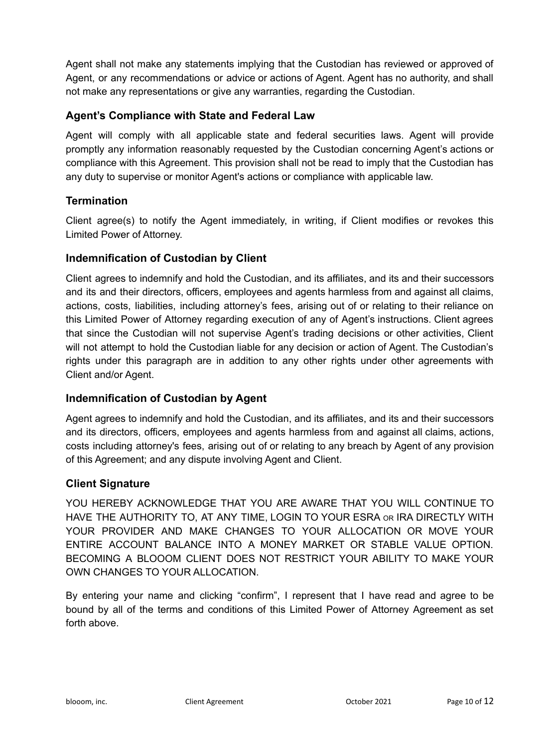Agent shall not make any statements implying that the Custodian has reviewed or approved of Agent, or any recommendations or advice or actions of Agent. Agent has no authority, and shall not make any representations or give any warranties, regarding the Custodian.

# **Agent's Compliance with State and Federal Law**

Agent will comply with all applicable state and federal securities laws. Agent will provide promptly any information reasonably requested by the Custodian concerning Agent's actions or compliance with this Agreement. This provision shall not be read to imply that the Custodian has any duty to supervise or monitor Agent's actions or compliance with applicable law.

# **Termination**

Client agree(s) to notify the Agent immediately, in writing, if Client modifies or revokes this Limited Power of Attorney.

# **Indemnification of Custodian by Client**

Client agrees to indemnify and hold the Custodian, and its affiliates, and its and their successors and its and their directors, officers, employees and agents harmless from and against all claims, actions, costs, liabilities, including attorney's fees, arising out of or relating to their reliance on this Limited Power of Attorney regarding execution of any of Agent's instructions. Client agrees that since the Custodian will not supervise Agent's trading decisions or other activities, Client will not attempt to hold the Custodian liable for any decision or action of Agent. The Custodian's rights under this paragraph are in addition to any other rights under other agreements with Client and/or Agent.

# **Indemnification of Custodian by Agent**

Agent agrees to indemnify and hold the Custodian, and its affiliates, and its and their successors and its directors, officers, employees and agents harmless from and against all claims, actions, costs including attorney's fees, arising out of or relating to any breach by Agent of any provision of this Agreement; and any dispute involving Agent and Client.

# **Client Signature**

YOU HEREBY ACKNOWLEDGE THAT YOU ARE AWARE THAT YOU WILL CONTINUE TO HAVE THE AUTHORITY TO, AT ANY TIME, LOGIN TO YOUR ESRA OR IRA DIRECTLY WITH YOUR PROVIDER AND MAKE CHANGES TO YOUR ALLOCATION OR MOVE YOUR ENTIRE ACCOUNT BALANCE INTO A MONEY MARKET OR STABLE VALUE OPTION. BECOMING A BLOOOM CLIENT DOES NOT RESTRICT YOUR ABILITY TO MAKE YOUR OWN CHANGES TO YOUR ALLOCATION.

By entering your name and clicking "confirm", I represent that I have read and agree to be bound by all of the terms and conditions of this Limited Power of Attorney Agreement as set forth above.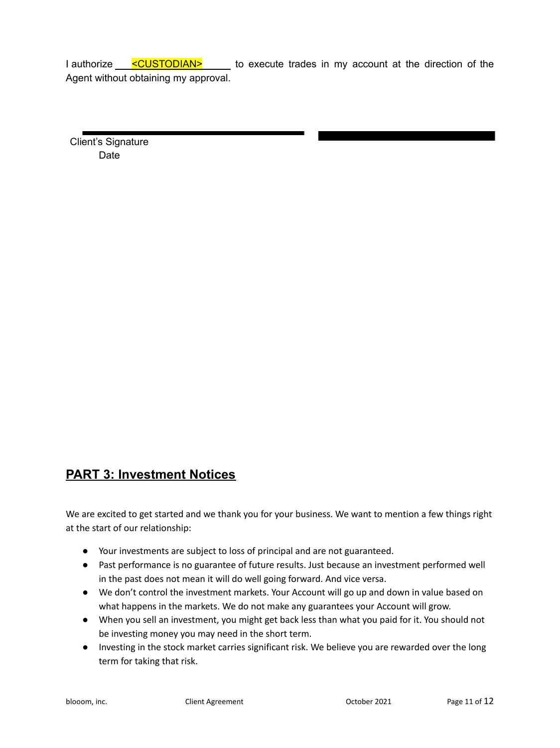I authorize **CUSTODIAN>** to execute trades in my account at the direction of the Agent without obtaining my approval.

Client's Signature Date

# **PART 3: Investment Notices**

We are excited to get started and we thank you for your business. We want to mention a few things right at the start of our relationship:

- Your investments are subject to loss of principal and are not guaranteed.
- Past performance is no guarantee of future results. Just because an investment performed well in the past does not mean it will do well going forward. And vice versa.
- We don't control the investment markets. Your Account will go up and down in value based on what happens in the markets. We do not make any guarantees your Account will grow.
- When you sell an investment, you might get back less than what you paid for it. You should not be investing money you may need in the short term.
- Investing in the stock market carries significant risk. We believe you are rewarded over the long term for taking that risk.